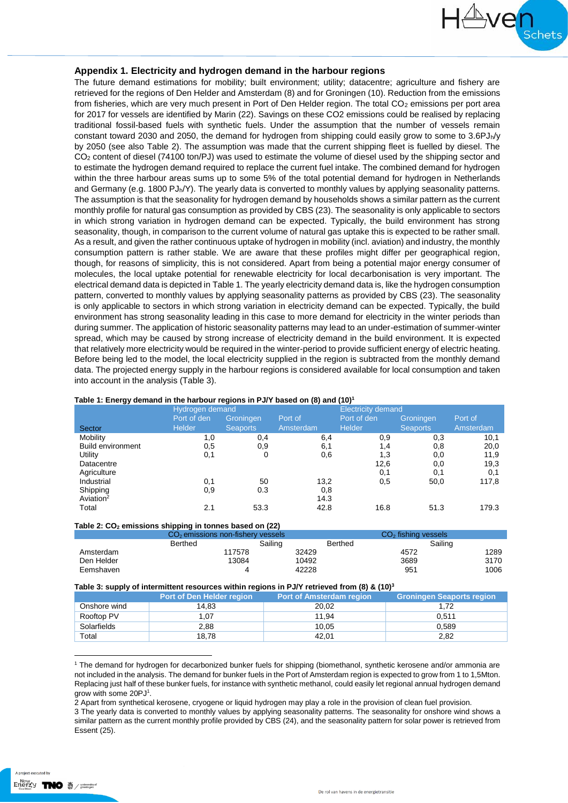

#### **Appendix 1. Electricity and hydrogen demand in the harbour regions**

The future demand estimations for mobility; built environment; utility; datacentre; agriculture and fishery are retrieved for the regions of Den Helder and Amsterdam (8) and for Groningen (10). Reduction from the emissions from fisheries, which are very much present in Port of Den Helder region. The total  $CO<sub>2</sub>$  emissions per port area for 2017 for vessels are identified by Marin (22). Savings on these CO2 emissions could be realised by replacing traditional fossil-based fuels with synthetic fuels. Under the assumption that the number of vessels remain constant toward 2030 and 2050, the demand for hydrogen from shipping could easily grow to some to 3.6PJh/y by 2050 (see also [Table 2\)](#page-0-0). The assumption was made that the current shipping fleet is fuelled by diesel. The CO<sup>2</sup> content of diesel (74100 ton/PJ) was used to estimate the volume of diesel used by the shipping sector and to estimate the hydrogen demand required to replace the current fuel intake. The combined demand for hydrogen within the three harbour areas sums up to some 5% of the total potential demand for hydrogen in Netherlands and Germany (e.g. 1800 PJ<sub>h</sub>/Y). The yearly data is converted to monthly values by applying seasonality patterns. The assumption is that the seasonality for hydrogen demand by households shows a similar pattern as the current monthly profile for natural gas consumption as provided by CBS (23). The seasonality is only applicable to sectors in which strong variation in hydrogen demand can be expected. Typically, the build environment has strong seasonality, though, in comparison to the current volume of natural gas uptake this is expected to be rather small. As a result, and given the rather continuous uptake of hydrogen in mobility (incl. aviation) and industry, the monthly consumption pattern is rather stable. We are aware that these profiles might differ per geographical region, though, for reasons of simplicity, this is not considered. Apart from being a potential major energy consumer of molecules, the local uptake potential for renewable electricity for local decarbonisation is very important. The electrical demand data is depicted i[n Table 1.](#page-0-1) The yearly electricity demand data is, like the hydrogen consumption pattern, converted to monthly values by applying seasonality patterns as provided by CBS (23). The seasonality is only applicable to sectors in which strong variation in electricity demand can be expected. Typically, the build environment has strong seasonality leading in this case to more demand for electricity in the winter periods than during summer. The application of historic seasonality patterns may lead to an under-estimation of summer-winter spread, which may be caused by strong increase of electricity demand in the build environment. It is expected that relatively more electricity would be required in the winter-period to provide sufficient energy of electric heating. Before being led to the model, the local electricity supplied in the region is subtracted from the monthly demand data. The projected energy supply in the harbour regions is considered available for local consumption and taken into account in the analysis (Table 3).

|                          | Hydrogen demand |                 | <b>Electricity demand</b> |               |                 |           |
|--------------------------|-----------------|-----------------|---------------------------|---------------|-----------------|-----------|
|                          | Port of den     | Groningen       | Port of                   | Port of den   | Groningen       | Port of   |
| Sector                   | <b>Helder</b>   | <b>Seaports</b> | Amsterdam                 | <b>Helder</b> | <b>Seaports</b> | Amsterdam |
| Mobility                 | 1,0             | 0,4             | 6,4                       | 0,9           | 0,3             | 10,1      |
| <b>Build environment</b> | 0,5             | 0,9             | 6,1                       | 1,4           | 0,8             | 20,0      |
| Utility                  | 0,1             | 0               | 0,6                       | 1,3           | 0,0             | 11,9      |
| Datacentre               |                 |                 |                           | 12,6          | 0,0             | 19,3      |
| Agriculture              |                 |                 |                           | 0,1           | 0,1             | 0,1       |
| Industrial               | 0,1             | 50              | 13,2                      | 0,5           | 50,0            | 117,8     |
| Shipping                 | 0,9             | 0.3             | 0,8                       |               |                 |           |
| Aviation <sup>2</sup>    |                 |                 | 14.3                      |               |                 |           |
| Total                    | 2.1             | 53.3            | 42.8                      | 16.8          | 51.3            | 179.3     |

#### <span id="page-0-1"></span>**Table 1: Energy demand in the harbour regions in PJ/Y based on (8) and (10)<sup>1</sup>**

<span id="page-0-0"></span>

| Table 2: $CO2$ emissions shipping in tonnes based on (22) |                                     |         |         |                       |      |  |
|-----------------------------------------------------------|-------------------------------------|---------|---------|-----------------------|------|--|
|                                                           | $CO2$ emissions non-fishery vessels |         |         | $CO2$ fishing vessels |      |  |
|                                                           | Berthed                             | Sailing | Berthed | Sailing               |      |  |
| Amsterdam                                                 | 117578                              | 32429   |         | 4572                  | 1289 |  |
| Den Helder                                                | 13084                               | 10492   |         | 3689                  | 3170 |  |
| Eemshaven                                                 |                                     | 42228   |         | 951                   | 1006 |  |

#### **Table 3: supply of intermittent resources within regions in PJ/Y retrieved from (8) & (10)<sup>3</sup>**

| .            | . .<br>Port of Den Helder region | Port of Amsterdam region | <b>Groningen Seaports region</b> |
|--------------|----------------------------------|--------------------------|----------------------------------|
| Onshore wind | 14.83                            | 20,02                    | 1.72                             |
| Rooftop PV   | 1.07                             | 11.94                    | 0.511                            |
| Solarfields  | 2.88                             | 10.05                    | 0.589                            |
| Total        | 18.78                            | 42.01                    | 2,82                             |

<sup>1</sup> The demand for hydrogen for decarbonized bunker fuels for shipping (biomethanol, synthetic kerosene and/or ammonia are not included in the analysis. The demand for bunker fuels in the Port of Amsterdam region is expected to grow from 1 to 1,5Mton. Replacing just half of these bunker fuels, for instance with synthetic methanol, could easily let regional annual hydrogen demand grow with some 20PJ<sup>1</sup>.

2 Apart from synthetical kerosene, cryogene or liquid hydrogen may play a role in the provision of clean fuel provision.

3 The yearly data is converted to monthly values by applying seasonality patterns. The seasonality for onshore wind shows a similar pattern as the current monthly profile provided by CBS (24), and the seasonality pattern for solar power is retrieved from Essent (25).

 $\overline{a}$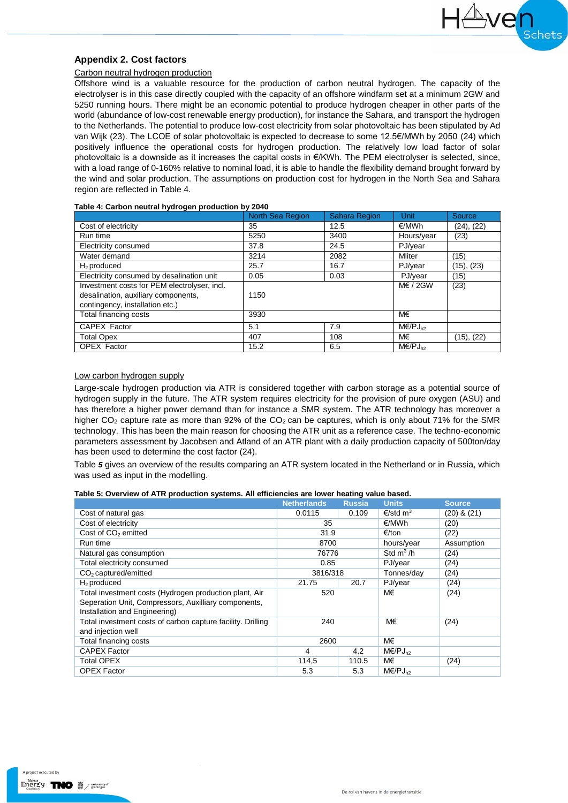## **Appendix 2. Cost factors**

#### Carbon neutral hydrogen production

Offshore wind is a valuable resource for the production of carbon neutral hydrogen. The capacity of the electrolyser is in this case directly coupled with the capacity of an offshore windfarm set at a minimum 2GW and 5250 running hours. There might be an economic potential to produce hydrogen cheaper in other parts of the world (abundance of low-cost renewable energy production), for instance the Sahara, and transport the hydrogen to the Netherlands. The potential to produce low-cost electricity from solar photovoltaic has been stipulated by Ad van Wijk (23). The LCOE of solar photovoltaic is expected to decrease to some 12.5€/MWh by 2050 (24) which positively influence the operational costs for hydrogen production. The relatively low load factor of solar photovoltaic is a downside as it increases the capital costs in €/KWh. The PEM electrolyser is selected, since, with a load range of 0-160% relative to nominal load, it is able to handle the flexibility demand brought forward by the wind and solar production. The assumptions on production cost for hydrogen in the North Sea and Sahara region are reflected i[n Table 4.](#page-1-0)

Ave

<span id="page-1-0"></span>

|                                              | <b>North Sea Region</b> | <b>Sahara Region</b> | <b>Unit</b>              | Source     |
|----------------------------------------------|-------------------------|----------------------|--------------------------|------------|
| Cost of electricity                          | 35                      | 12.5                 | €/MWh                    | (24), (22) |
| Run time                                     | 5250                    | 3400                 | Hours/year               | (23)       |
| Electricity consumed                         | 37.8                    | 24.5                 | PJ/year                  |            |
| Water demand                                 | 3214                    | 2082                 | <b>Mliter</b>            | (15)       |
| $H2$ produced                                | 25.7                    | 16.7                 | PJ/year                  | (15), (23) |
| Electricity consumed by desalination unit    | 0.05                    | 0.03                 | PJ/year                  | (15)       |
| Investment costs for PEM electrolyser, incl. |                         |                      | $M\in$ / 2GW             | (23)       |
| desalination, auxiliary components,          | 1150                    |                      |                          |            |
| contingency, installation etc.)              |                         |                      |                          |            |
| Total financing costs                        | 3930                    |                      | M€                       |            |
| CAPEX Factor                                 | 5.1                     | 7.9                  | $M\in$ /PJ <sub>h2</sub> |            |
| <b>Total Opex</b>                            | 407                     | 108                  | M€                       | (15), (22) |
| <b>OPEX Factor</b>                           | 15.2                    | 6.5                  | $M\in$ /PJ <sub>b2</sub> |            |

#### Low carbon hydrogen supply

Large-scale hydrogen production via ATR is considered together with carbon storage as a potential source of hydrogen supply in the future. The ATR system requires electricity for the provision of pure oxygen (ASU) and has therefore a higher power demand than for instance a SMR system. The ATR technology has moreover a higher  $CO<sub>2</sub>$  capture rate as more than 92% of the  $CO<sub>2</sub>$  can be captures, which is only about 71% for the SMR technology. This has been the main reason for choosing the ATR unit as a reference case. The techno-economic parameters assessment by Jacobsen and Atland of an ATR plant with a daily production capacity of 500ton/day has been used to determine the cost factor (24).

[Table](#page-1-1) *5* gives an overview of the results comparing an ATR system located in the Netherland or in Russia, which was used as input in the modelling.

<span id="page-1-1"></span>

|  |  | Table 5: Overview of ATR production systems. All efficiencies are lower heating value based. |  |
|--|--|----------------------------------------------------------------------------------------------|--|
|--|--|----------------------------------------------------------------------------------------------|--|

|                                                                                                                                                 | <b>Netherlands</b> | <b>Russia</b> | <b>Units</b>             | <b>Source</b>   |
|-------------------------------------------------------------------------------------------------------------------------------------------------|--------------------|---------------|--------------------------|-----------------|
| Cost of natural gas                                                                                                                             | 0.0115             | 0.109         | €/std m <sup>3</sup>     | $(20)$ & $(21)$ |
| Cost of electricity                                                                                                                             | 35                 |               | €/MWh                    | (20)            |
| Cost of CO <sub>2</sub> emitted                                                                                                                 | 31.9               |               | €/ton                    | (22)            |
| Run time                                                                                                                                        | 8700               |               | hours/year               | Assumption      |
| Natural gas consumption                                                                                                                         | 76776              |               | Std $m^3/h$              | (24)            |
| Total electricity consumed                                                                                                                      | 0.85               |               | PJ/year                  | (24)            |
| CO <sub>2</sub> captured/emitted                                                                                                                | 3816/318           |               | Tonnes/day               | (24)            |
| $H_2$ produced                                                                                                                                  | 21.75              | 20.7          | PJ/year                  | (24)            |
| Total investment costs (Hydrogen production plant, Air<br>Seperation Unit, Compressors, Auxilliary components,<br>Installation and Engineering) | 520                |               | M€                       | (24)            |
| Total investment costs of carbon capture facility. Drilling<br>and injection well                                                               | 240                |               | M€                       | (24)            |
| Total financing costs                                                                                                                           | 2600               |               | M€                       |                 |
| <b>CAPEX Factor</b>                                                                                                                             | 4                  | 4.2           | $M\in$ /PJ <sub>h2</sub> |                 |
| Total OPEX                                                                                                                                      | 114,5              | 110.5         | M€                       | (24)            |
| <b>OPEX Factor</b>                                                                                                                              | 5.3                | 5.3           | $M\in$ /PJ <sub>h2</sub> |                 |

A project executed by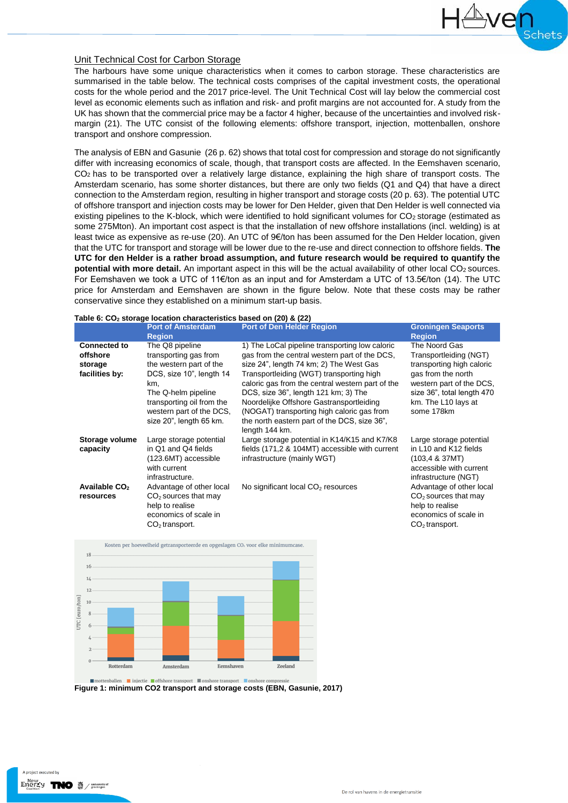### Unit Technical Cost for Carbon Storage

The harbours have some unique characteristics when it comes to carbon storage. These characteristics are summarised in the table below. The technical costs comprises of the capital investment costs, the operational costs for the whole period and the 2017 price-level. The Unit Technical Cost will lay below the commercial cost level as economic elements such as inflation and risk- and profit margins are not accounted for. A study from the UK has shown that the commercial price may be a factor 4 higher, because of the uncertainties and involved riskmargin (21). The UTC consist of the following elements: offshore transport, injection, mottenballen, onshore transport and onshore compression.

The analysis of EBN and Gasunie (26 p. 62) shows that total cost for compression and storage do not significantly differ with increasing economics of scale, though, that transport costs are affected. In the Eemshaven scenario,  $CO<sub>2</sub>$  has to be transported over a relatively large distance, explaining the high share of transport costs. The Amsterdam scenario, has some shorter distances, but there are only two fields (Q1 and Q4) that have a direct connection to the Amsterdam region, resulting in higher transport and storage costs (20 p. 63). The potential UTC of offshore transport and injection costs may be lower for Den Helder, given that Den Helder is well connected via existing pipelines to the K-block, which were identified to hold significant volumes for CO<sub>2</sub> storage (estimated as some 275Mton). An important cost aspect is that the installation of new offshore installations (incl. welding) is at least twice as expensive as re-use (20). An UTC of 9€/ton has been assumed for the Den Helder location, given that the UTC for transport and storage will be lower due to the re-use and direct connection to offshore fields. **The UTC for den Helder is a rather broad assumption, and future research would be required to quantify the potential with more detail.** An important aspect in this will be the actual availability of other local CO<sub>2</sub> sources. For Eemshaven we took a UTC of 11€/ton as an input and for Amsterdam a UTC of 13.5€/ton (14). The UTC price for Amsterdam and Eemshaven are shown in the figure below. Note that these costs may be rather conservative since they established on a minimum start-up basis.

| Table 6: $CO2$ storage location characteristics based on (20) & (22) |                                                                                                                                                                                                                   |                                                                                                                                                                                                                                                                                                                                                                                                                                                |                                                                                                                                                                                           |  |
|----------------------------------------------------------------------|-------------------------------------------------------------------------------------------------------------------------------------------------------------------------------------------------------------------|------------------------------------------------------------------------------------------------------------------------------------------------------------------------------------------------------------------------------------------------------------------------------------------------------------------------------------------------------------------------------------------------------------------------------------------------|-------------------------------------------------------------------------------------------------------------------------------------------------------------------------------------------|--|
|                                                                      | <b>Port of Amsterdam</b><br><b>Region</b>                                                                                                                                                                         | <b>Port of Den Helder Region</b>                                                                                                                                                                                                                                                                                                                                                                                                               | <b>Groningen Seaports</b><br><b>Region</b>                                                                                                                                                |  |
| <b>Connected to</b><br>offshore<br>storage<br>facilities by:         | The Q8 pipeline<br>transporting gas from<br>the western part of the<br>DCS, size 10", length 14<br>km,<br>The Q-helm pipeline<br>transporting oil from the<br>western part of the DCS.<br>size 20", length 65 km. | 1) The LoCal pipeline transporting low caloric<br>gas from the central western part of the DCS,<br>size 24", length 74 km; 2) The West Gas<br>Transportleiding (WGT) transporting high<br>caloric gas from the central western part of the<br>DCS, size 36", length 121 km; 3) The<br>Noordelijke Offshore Gastransportleiding<br>(NOGAT) transporting high caloric gas from<br>the north eastern part of the DCS, size 36".<br>length 144 km. | The Noord Gas<br>Transportleiding (NGT)<br>transporting high caloric<br>gas from the north<br>western part of the DCS,<br>size 36", total length 470<br>km. The L10 lays at<br>some 178km |  |
| Storage volume<br>capacity                                           | Large storage potential<br>in Q1 and Q4 fields<br>(123.6MT) accessible<br>with current<br>infrastructure.                                                                                                         | Large storage potential in K14/K15 and K7/K8<br>fields (171,2 & 104MT) accessible with current<br>infrastructure (mainly WGT)                                                                                                                                                                                                                                                                                                                  | Large storage potential<br>in L10 and K12 fields<br>(103.4 & 37MT)<br>accessible with current<br>infrastructure (NGT)                                                                     |  |
| Available CO <sub>2</sub><br>resources                               | Advantage of other local<br>$CO2$ sources that may<br>help to realise<br>economics of scale in<br>$CO2$ transport.                                                                                                | No significant local $CO2$ resources                                                                                                                                                                                                                                                                                                                                                                                                           | Advantage of other local<br>$CO2$ sources that may<br>help to realise<br>economics of scale in<br>$CO2$ transport.                                                                        |  |



**Figure 1: minimum CO2 transport and storage costs (EBN, Gasunie, 2017)**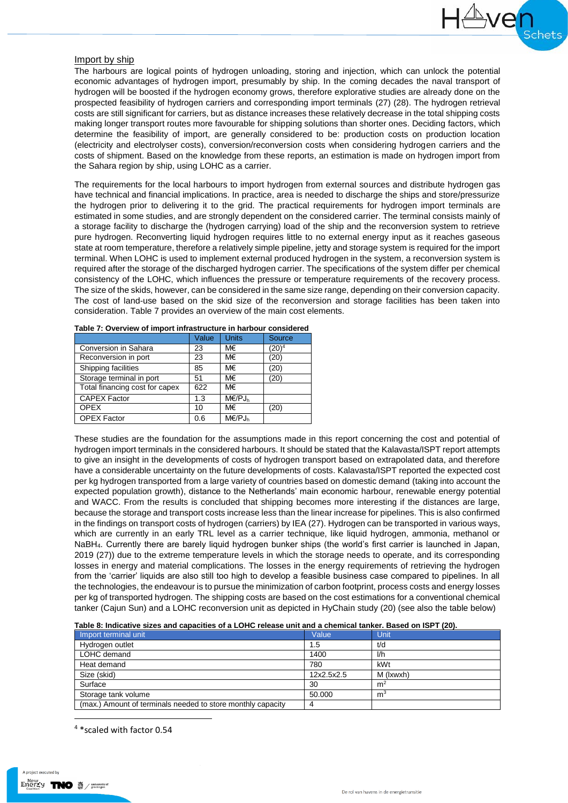## Import by ship

The harbours are logical points of hydrogen unloading, storing and injection, which can unlock the potential economic advantages of hydrogen import, presumably by ship. In the coming decades the naval transport of hydrogen will be boosted if the hydrogen economy grows, therefore explorative studies are already done on the prospected feasibility of hydrogen carriers and corresponding import terminals (27) (28). The hydrogen retrieval costs are still significant for carriers, but as distance increases these relatively decrease in the total shipping costs making longer transport routes more favourable for shipping solutions than shorter ones. Deciding factors, which determine the feasibility of import, are generally considered to be: production costs on production location (electricity and electrolyser costs), conversion/reconversion costs when considering hydrogen carriers and the costs of shipment. Based on the knowledge from these reports, an estimation is made on hydrogen import from the Sahara region by ship, using LOHC as a carrier.

The requirements for the local harbours to import hydrogen from external sources and distribute hydrogen gas have technical and financial implications. In practice, area is needed to discharge the ships and store/pressurize the hydrogen prior to delivering it to the grid. The practical requirements for hydrogen import terminals are estimated in some studies, and are strongly dependent on the considered carrier. The terminal consists mainly of a storage facility to discharge the (hydrogen carrying) load of the ship and the reconversion system to retrieve pure hydrogen. Reconverting liquid hydrogen requires little to no external energy input as it reaches gaseous state at room temperature, therefore a relatively simple pipeline, jetty and storage system is required for the import terminal. When LOHC is used to implement external produced hydrogen in the system, a reconversion system is required after the storage of the discharged hydrogen carrier. The specifications of the system differ per chemical consistency of the LOHC, which influences the pressure or temperature requirements of the recovery process. The size of the skids, however, can be considered in the same size range, depending on their conversion capacity. The cost of land-use based on the skid size of the reconversion and storage facilities has been taken into consideration[. Table 7](#page-3-0) provides an overview of the main cost elements.

|       |               | , apic 7. Overview of importantable acture in harbour considered |  |  |  |  |
|-------|---------------|------------------------------------------------------------------|--|--|--|--|
| Value | <b>Units</b>  | Source                                                           |  |  |  |  |
| 23    | M€            | (20) <sup>4</sup>                                                |  |  |  |  |
| 23    | M€            | (20)                                                             |  |  |  |  |
| 85    | M€            | (20)                                                             |  |  |  |  |
| 51    | M€            | (20)                                                             |  |  |  |  |
| 622   | M€            |                                                                  |  |  |  |  |
| 1.3   | $M \in /PJ_h$ |                                                                  |  |  |  |  |
| 10    | M€            | (20)                                                             |  |  |  |  |
| 0.6   | $M \in /PJ_h$ |                                                                  |  |  |  |  |
|       |               |                                                                  |  |  |  |  |

<span id="page-3-0"></span>

These studies are the foundation for the assumptions made in this report concerning the cost and potential of hydrogen import terminals in the considered harbours. It should be stated that the Kalavasta/ISPT report attempts to give an insight in the developments of costs of hydrogen transport based on extrapolated data, and therefore have a considerable uncertainty on the future developments of costs. Kalavasta/ISPT reported the expected cost per kg hydrogen transported from a large variety of countries based on domestic demand (taking into account the expected population growth), distance to the Netherlands' main economic harbour, renewable energy potential and WACC. From the results is concluded that shipping becomes more interesting if the distances are large, because the storage and transport costs increase less than the linear increase for pipelines. This is also confirmed in the findings on transport costs of hydrogen (carriers) by IEA (27). Hydrogen can be transported in various ways, which are currently in an early TRL level as a carrier technique, like liquid hydrogen, ammonia, methanol or NaBH4. Currently there are barely liquid hydrogen bunker ships (the world's first carrier is launched in Japan, 2019 (27)) due to the extreme temperature levels in which the storage needs to operate, and its corresponding losses in energy and material complications. The losses in the energy requirements of retrieving the hydrogen from the 'carrier' liquids are also still too high to develop a feasible business case compared to pipelines. In all the technologies, the endeavour is to pursue the minimization of carbon footprint, process costs and energy losses per kg of transported hydrogen. The shipping costs are based on the cost estimations for a conventional chemical tanker (Cajun Sun) and a LOHC reconversion unit as depicted in HyChain study (20) (see also the table below)

| Table 8: Indicative sizes and capacities of a LOHC release unit and a chemical tanker. Based on ISPT (20). |  |
|------------------------------------------------------------------------------------------------------------|--|
|------------------------------------------------------------------------------------------------------------|--|

| Import terminal unit                                        | Value      | Unit           |
|-------------------------------------------------------------|------------|----------------|
| Hydrogen outlet                                             | 1.5        | t/d            |
| LOHC demand                                                 | 1400       | l/h            |
| Heat demand                                                 | 780        | kWt            |
| Size (skid)                                                 | 12x2.5x2.5 | M (Ixwxh)      |
| Surface                                                     | 30         | m <sup>2</sup> |
| Storage tank volume                                         | 50.000     | m <sup>3</sup> |
| (max.) Amount of terminals needed to store monthly capacity |            |                |

<sup>4</sup> \*scaled with factor 0.54

1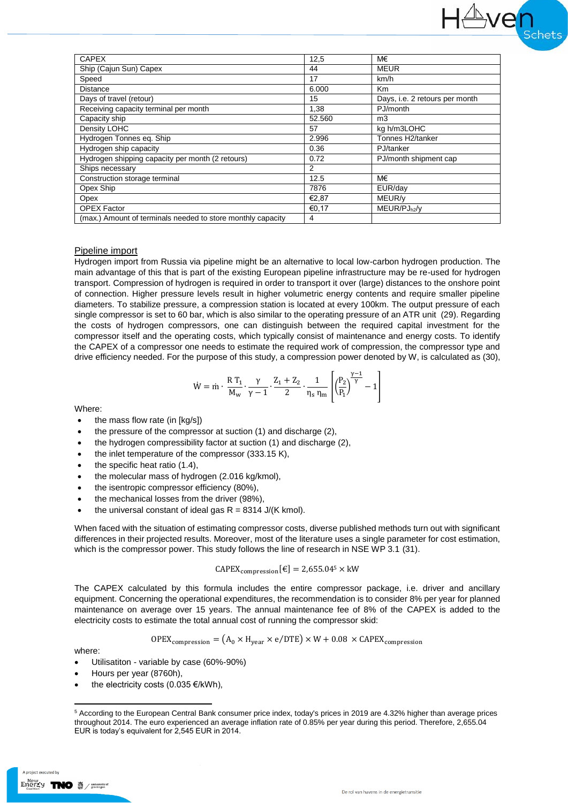| <b>CAPEX</b>                                                | 12,5   | M€                             |
|-------------------------------------------------------------|--------|--------------------------------|
| Ship (Cajun Sun) Capex                                      | 44     | <b>MEUR</b>                    |
| Speed                                                       | 17     | km/h                           |
| <b>Distance</b>                                             | 6.000  | Km                             |
| Days of travel (retour)                                     | 15     | Days, i.e. 2 retours per month |
| Receiving capacity terminal per month                       | 1,38   | PJ/month                       |
| Capacity ship                                               | 52.560 | m <sub>3</sub>                 |
| Density LOHC                                                | 57     | kg h/m3LOHC                    |
| Hydrogen Tonnes eg. Ship                                    | 2.996  | Tonnes H2/tanker               |
| Hydrogen ship capacity                                      | 0.36   | PJ/tanker                      |
| Hydrogen shipping capacity per month (2 retours)            | 0.72   | PJ/month shipment cap          |
| Ships necessary                                             | 2      |                                |
| Construction storage terminal                               | 12.5   | M€                             |
| Opex Ship                                                   | 7876   | EUR/day                        |
| Opex                                                        | €2.87  | MEUR/y                         |
| <b>OPEX Factor</b>                                          | €0,17  | $MEUR/PJ_{h2}/y$               |
| (max.) Amount of terminals needed to store monthly capacity | 4      |                                |

#### Pipeline import

Hydrogen import from Russia via pipeline might be an alternative to local low-carbon hydrogen production. The main advantage of this that is part of the existing European pipeline infrastructure may be re-used for hydrogen transport. Compression of hydrogen is required in order to transport it over (large) distances to the onshore point of connection. Higher pressure levels result in higher volumetric energy contents and require smaller pipeline diameters. To stabilize pressure, a compression station is located at every 100km. The output pressure of each single compressor is set to 60 bar, which is also similar to the operating pressure of an ATR unit (29). Regarding the costs of hydrogen compressors, one can distinguish between the required capital investment for the compressor itself and the operating costs, which typically consist of maintenance and energy costs. To identify the CAPEX of a compressor one needs to estimate the required work of compression, the compressor type and drive efficiency needed. For the purpose of this study, a compression power denoted by W, is calculated as (30),

$$
\dot{W}=\dot{m}\cdot\frac{R\,T_1}{M_w}\cdot\frac{\gamma}{\gamma-1}\cdot\frac{Z_1+Z_2}{2}\cdot\frac{1}{\eta_s\,\eta_m}\left[\left(\frac{P_2}{P_1}\right)^{\frac{\gamma-1}{\gamma}}-1\right]
$$

Where:

- the mass flow rate (in [kg/s])
- the pressure of the compressor at suction (1) and discharge (2),
- the hydrogen compressibility factor at suction (1) and discharge (2),
- the inlet temperature of the compressor (333.15 K),
- the specific heat ratio (1.4),
- the molecular mass of hydrogen (2.016 kg/kmol),
- the isentropic compressor efficiency (80%),
- the mechanical losses from the driver (98%),
- the universal constant of ideal gas  $R = 8314$  J/(K kmol).

When faced with the situation of estimating compressor costs, diverse published methods turn out with significant differences in their projected results. Moreover, most of the literature uses a single parameter for cost estimation, which is the compressor power. This study follows the line of research in NSE WP 3.1 (31).

$$
CAPEX_{compression}[\varepsilon] = 2,655.045 \times kW
$$

The CAPEX calculated by this formula includes the entire compressor package, i.e. driver and ancillary equipment. Concerning the operational expenditures, the recommendation is to consider 8% per year for planned maintenance on average over 15 years. The annual maintenance fee of 8% of the CAPEX is added to the electricity costs to estimate the total annual cost of running the compressor skid:

$$
OPEX_{compression} = (A_0 \times H_{year} \times e/DTE) \times W + 0.08 \times CAPEX_{compression}
$$

where:

**.** 

- Utilisatiton variable by case (60%-90%)
- Hours per year (8760h),
- the electricity costs (0.035  $\epsilon$ /kWh),

project executed by

<sup>5</sup> According to the European Central Bank consumer price index, today's prices in 2019 are 4.32% higher than average prices throughout 2014. The euro experienced an average inflation rate of 0.85% per year during this period. Therefore, 2,655.04 EUR is today's equivalent for 2,545 EUR in 2014.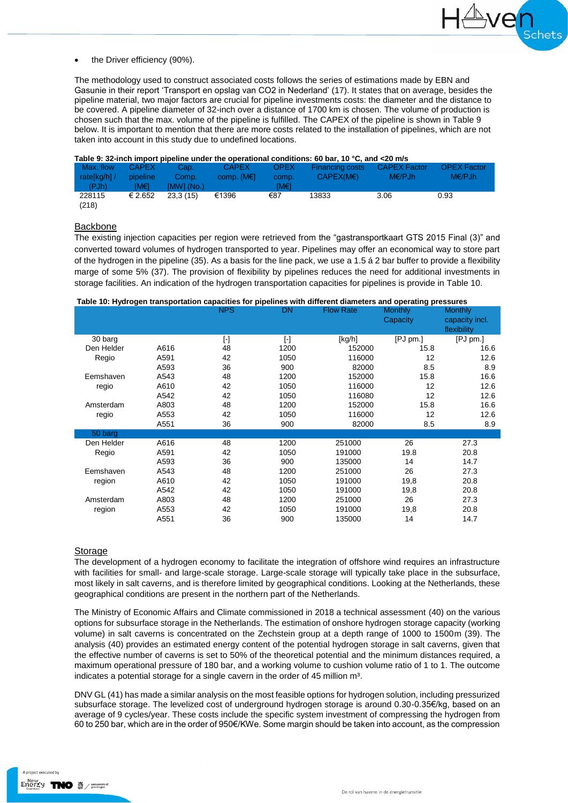the Driver efficiency (90%).

The methodology used to construct associated costs follows the series of estimations made by EBN and Gasunie in their report 'Transport en opslag van CO2 in Nederland' (17). It states that on average, besides the pipeline material, two major factors are crucial for pipeline investments costs: the diameter and the distance to be covered. A pipeline diameter of 32-inch over a distance of 1700 km is chosen. The volume of production is chosen such that the max. volume of the pipeline is fulfilled. The CAPEX of the pipeline is shown in [Table 9](#page-5-0) below. It is important to mention that there are more costs related to the installation of pipelines, which are not taken into account in this study due to undefined locations.

<span id="page-5-0"></span>

|  | Table 9: 32-inch import pipeline under the operational conditions: 60 bar, 10 °C, and <20 m/s |
|--|-----------------------------------------------------------------------------------------------|

| Max. flow<br>rate[kg/h] /<br>(PJh) | <b>CAPEX</b><br>pipeline<br>IM€1. | Cap. .<br>Comp.<br>[MW] (No.) | <b>CAPEX</b><br>comp. $[ME]$ | <b>OPEX</b><br>comp.<br>ſM€1 | Financing costs<br>CAPEX(ME) | <b>CAPEX Factor</b><br>$M \in \mathcal{P}$ Jh | <b>OPEX Factor</b><br>$M\in$ /PJh |  |
|------------------------------------|-----------------------------------|-------------------------------|------------------------------|------------------------------|------------------------------|-----------------------------------------------|-----------------------------------|--|
| 228115<br>(218)                    | € 2.652                           | 23.3(15)                      | €1396                        | €87                          | 13833                        | 3.06                                          | 0.93                              |  |

## Backbone

The existing injection capacities per region were retrieved from the "gastransportkaart GTS 2015 Final (3)" and converted toward volumes of hydrogen transported to year. Pipelines may offer an economical way to store part of the hydrogen in the pipeline (35). As a basis for the line pack, we use a 1.5 á 2 bar buffer to provide a flexibility marge of some 5% (37). The provision of flexibility by pipelines reduces the need for additional investments in storage facilities. An indication of the hydrogen transportation capacities for pipelines is provide in [Table 10.](#page-5-1)

#### <span id="page-5-1"></span>**Table 10: Hydrogen transportation capacities for pipelines with different diameters and operating pressures**

| <del>.</del> |      | <b>NPS</b>              | - די<br><b>DN</b>      | <b>Flow Rate</b> | ים כי יישו<br><b>Monthly</b><br>Capacity | <b>Monthly</b><br>capacity incl.<br>flexibility |
|--------------|------|-------------------------|------------------------|------------------|------------------------------------------|-------------------------------------------------|
| 30 barg      |      | $\lbrack \cdot \rbrack$ | $\left[ \cdot \right]$ | [kg/h]           | [PJ pm.]                                 | [PJ pm.]                                        |
| Den Helder   | A616 | 48                      | 1200                   | 152000           | 15.8                                     | 16.6                                            |
| Regio        | A591 | 42                      | 1050                   | 116000           | 12                                       | 12.6                                            |
|              | A593 | 36                      | 900                    | 82000            | 8.5                                      | 8.9                                             |
| Eemshaven    | A543 | 48                      | 1200                   | 152000           | 15.8                                     | 16.6                                            |
| regio        | A610 | 42                      | 1050                   | 116000           | 12                                       | 12.6                                            |
|              | A542 | 42                      | 1050                   | 116080           | 12                                       | 12.6                                            |
| Amsterdam    | A803 | 48                      | 1200                   | 152000           | 15.8                                     | 16.6                                            |
| regio        | A553 | 42                      | 1050                   | 116000           | 12                                       | 12.6                                            |
|              | A551 | 36                      | 900                    | 82000            | 8.5                                      | 8.9                                             |
| 50 barg      |      |                         |                        |                  |                                          |                                                 |
| Den Helder   | A616 | 48                      | 1200                   | 251000           | 26                                       | 27.3                                            |
| Regio        | A591 | 42                      | 1050                   | 191000           | 19.8                                     | 20.8                                            |
|              | A593 | 36                      | 900                    | 135000           | 14                                       | 14.7                                            |
| Eemshaven    | A543 | 48                      | 1200                   | 251000           | 26                                       | 27.3                                            |
| region       | A610 | 42                      | 1050                   | 191000           | 19,8                                     | 20.8                                            |
|              | A542 | 42                      | 1050                   | 191000           | 19,8                                     | 20.8                                            |
| Amsterdam    | A803 | 48                      | 1200                   | 251000           | 26                                       | 27.3                                            |
| region       | A553 | 42                      | 1050                   | 191000           | 19,8                                     | 20.8                                            |
|              | A551 | 36                      | 900                    | 135000           | 14                                       | 14.7                                            |

#### Storage

The development of a hydrogen economy to facilitate the integration of offshore wind requires an infrastructure with facilities for small- and large-scale storage. Large-scale storage will typically take place in the subsurface, most likely in salt caverns, and is therefore limited by geographical conditions. Looking at the Netherlands, these geographical conditions are present in the northern part of the Netherlands.

The Ministry of Economic Affairs and Climate commissioned in 2018 a technical assessment (40) on the various options for subsurface storage in the Netherlands. The estimation of onshore hydrogen storage capacity (working volume) in salt caverns is concentrated on the Zechstein group at a depth range of 1000 to 1500m (39). The analysis (40) provides an estimated energy content of the potential hydrogen storage in salt caverns, given that the effective number of caverns is set to 50% of the theoretical potential and the minimum distances required, a maximum operational pressure of 180 bar, and a working volume to cushion volume ratio of 1 to 1. The outcome indicates a potential storage for a single cavern in the order of 45 million m<sup>3</sup>.

DNV GL (41) has made a similar analysis on the most feasible options for hydrogen solution, including pressurized subsurface storage. The levelized cost of underground hydrogen storage is around 0.30-0.35€/kg, based on an average of 9 cycles/year. These costs include the specific system investment of compressing the hydrogen from 60 to 250 bar, which are in the order of 950€/KWe. Some margin should be taken into account, as the compression

project executed by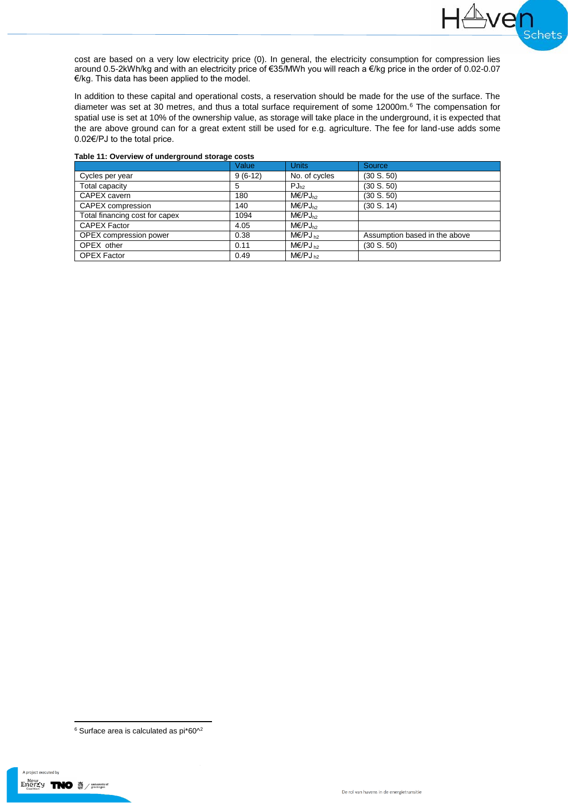cost are based on a very low electricity price (0). In general, the electricity consumption for compression lies around 0.5-2kWh/kg and with an electricity price of €35/MWh you will reach a €/kg price in the order of 0.02-0.07 €/kg. This data has been applied to the model.

**Lye** 

∎<br>¦chets

In addition to these capital and operational costs, a reservation should be made for the use of the surface. The diameter was set at 30 metres, and thus a total surface requirement of some 12000m.<sup>6</sup> The compensation for spatial use is set at 10% of the ownership value, as storage will take place in the underground, it is expected that the are above ground can for a great extent still be used for e.g. agriculture. The fee for land-use adds some 0.02€/PJ to the total price.

|                                | Value     | <b>Units</b>                  | Source <sub></sub>            |
|--------------------------------|-----------|-------------------------------|-------------------------------|
| Cycles per year                | $9(6-12)$ | No. of cycles                 | (30 S. 50)                    |
| Total capacity                 | 5         | $PJ_{h2}$                     | (30 S. 50)                    |
| CAPEX cavern                   | 180       | $M\epsilon$ /PJ $_{h2}$       | (30 S. 50)                    |
| CAPEX compression              | 140       | $M\epsilon$ /PJ $_{h2}$       | (30 S. 14)                    |
| Total financing cost for capex | 1094      | $M\epsilon$ /PJ <sub>h2</sub> |                               |
| <b>CAPEX Factor</b>            | 4.05      | $M\in$ /PJ $_{h2}$            |                               |
| OPEX compression power         | 0.38      | $M\in$ /PJ <sub>b2</sub>      | Assumption based in the above |
| OPEX other                     | 0.11      | $M\in$ /PJ <sub>b2</sub>      | (30 S. 50)                    |
| <b>OPEX Factor</b>             | 0.49      | $M\epsilon$ /PJ <sub>h2</sub> |                               |

## **Table 11: Overview of underground storage costs**

<sup>1</sup>  $6$  Surface area is calculated as pi $*60^{\wedge 2}$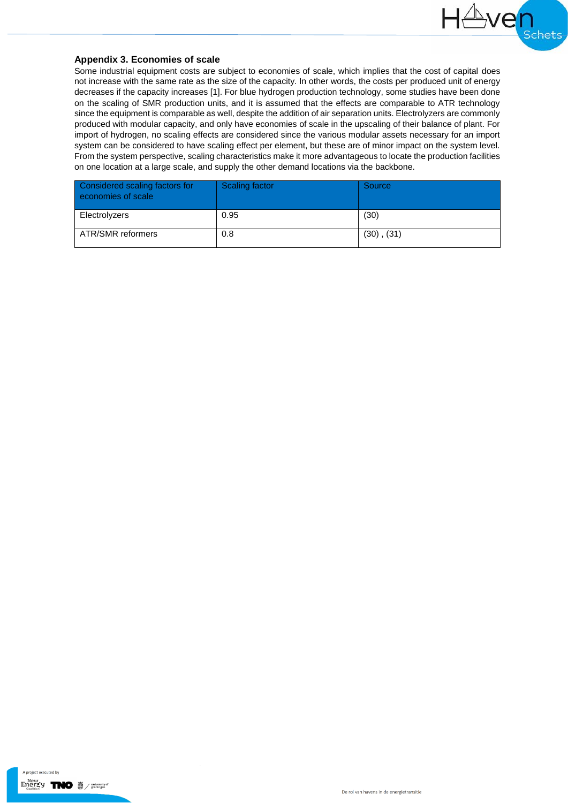

# **Appendix 3. Economies of scale**

Some industrial equipment costs are subject to economies of scale, which implies that the cost of capital does not increase with the same rate as the size of the capacity. In other words, the costs per produced unit of energy decreases if the capacity increases [1]. For blue hydrogen production technology, some studies have been done on the scaling of SMR production units, and it is assumed that the effects are comparable to ATR technology since the equipment is comparable as well, despite the addition of air separation units. Electrolyzers are commonly produced with modular capacity, and only have economies of scale in the upscaling of their balance of plant. For import of hydrogen, no scaling effects are considered since the various modular assets necessary for an import system can be considered to have scaling effect per element, but these are of minor impact on the system level. From the system perspective, scaling characteristics make it more advantageous to locate the production facilities on one location at a large scale, and supply the other demand locations via the backbone.

| Considered scaling factors for<br>economies of scale | Scaling factor | Source          |
|------------------------------------------------------|----------------|-----------------|
| Electrolyzers                                        | 0.95           | (30)            |
| ATR/SMR reformers                                    | 0.8            | $(30)$ , $(31)$ |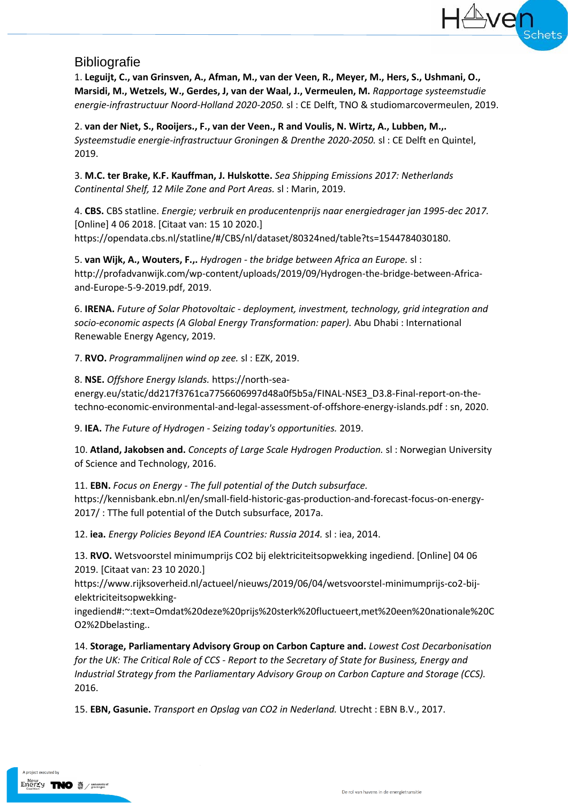# **Bibliografie**

1. **Leguijt, C., van Grinsven, A., Afman, M., van der Veen, R., Meyer, M., Hers, S., Ushmani, O., Marsidi, M., Wetzels, W., Gerdes, J, van der Waal, J., Vermeulen, M.** *Rapportage systeemstudie energie-infrastructuur Noord-Holland 2020-2050.* sl : CE Delft, TNO & studiomarcovermeulen, 2019.

2. **van der Niet, S., Rooijers., F., van der Veen., R and Voulis, N. Wirtz, A., Lubben, M.,.** *Systeemstudie energie-infrastructuur Groningen & Drenthe 2020-2050.* sl : CE Delft en Quintel, 2019.

3. **M.C. ter Brake, K.F. Kauffman, J. Hulskotte.** *Sea Shipping Emissions 2017: Netherlands Continental Shelf, 12 Mile Zone and Port Areas.* sl : Marin, 2019.

4. **CBS.** CBS statline. *Energie; verbruik en producentenprijs naar energiedrager jan 1995-dec 2017.*  [Online] 4 06 2018. [Citaat van: 15 10 2020.] https://opendata.cbs.nl/statline/#/CBS/nl/dataset/80324ned/table?ts=1544784030180.

5. **van Wijk, A., Wouters, F.,.** *Hydrogen - the bridge between Africa an Europe.* sl : http://profadvanwijk.com/wp-content/uploads/2019/09/Hydrogen-the-bridge-between-Africaand-Europe-5-9-2019.pdf, 2019.

6. **IRENA.** *Future of Solar Photovoltaic - deployment, investment, technology, grid integration and socio-economic aspects (A Global Energy Transformation: paper).* Abu Dhabi : International Renewable Energy Agency, 2019.

7. **RVO.** *Programmalijnen wind op zee.* sl : EZK, 2019.

8. **NSE.** *Offshore Energy Islands.* https://north-seaenergy.eu/static/dd217f3761ca7756606997d48a0f5b5a/FINAL-NSE3\_D3.8-Final-report-on-thetechno-economic-environmental-and-legal-assessment-of-offshore-energy-islands.pdf : sn, 2020.

9. **IEA.** *The Future of Hydrogen - Seizing today's opportunities.* 2019.

10. **Atland, Jakobsen and.** *Concepts of Large Scale Hydrogen Production.* sl : Norwegian University of Science and Technology, 2016.

11. **EBN.** *Focus on Energy - The full potential of the Dutch subsurface.*  https://kennisbank.ebn.nl/en/small-field-historic-gas-production-and-forecast-focus-on-energy-2017/ : TThe full potential of the Dutch subsurface, 2017a.

12. **iea.** *Energy Policies Beyond IEA Countries: Russia 2014.* sl : iea, 2014.

13. **RVO.** Wetsvoorstel minimumprijs CO2 bij elektriciteitsopwekking ingediend. [Online] 04 06 2019. [Citaat van: 23 10 2020.]

https://www.rijksoverheid.nl/actueel/nieuws/2019/06/04/wetsvoorstel-minimumprijs-co2-bijelektriciteitsopwekking-

ingediend#:~:text=Omdat%20deze%20prijs%20sterk%20fluctueert,met%20een%20nationale%20C O2%2Dbelasting..

14. **Storage, Parliamentary Advisory Group on Carbon Capture and.** *Lowest Cost Decarbonisation for the UK: The Critical Role of CCS - Report to the Secretary of State for Business, Energy and Industrial Strategy from the Parliamentary Advisory Group on Carbon Capture and Storage (CCS).*  2016.

15. **EBN, Gasunie.** *Transport en Opslag van CO2 in Nederland.* Utrecht : EBN B.V., 2017.

A project executed by